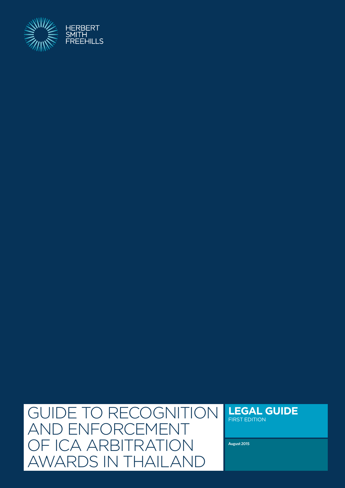

# GUIDE TO RECOGNITION AND ENFORCEMENT OF ICA ARBITRATION AWARDS IN THAILAND

## **LEGAL GUIDE** FIRST EDITION

**August 2015**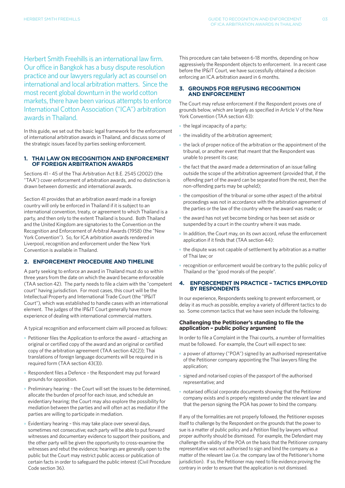Herbert Smith Freehills is an international law firm. Our office in Bangkok has a busy dispute resolution practice and our lawyers regularly act as counsel on international and local arbitration matters. Since the most recent global downturn in the world cotton markets, there have been various attempts to enforce International Cotton Association ("ICA") arbitration awards in Thailand.

In this guide, we set out the basic legal framework for the enforcement of international arbitration awards in Thailand, and discuss some of the strategic issues faced by parties seeking enforcement.

## **1. THAI LAW ON RECOGNITION AND ENFORCEMENT OF FOREIGN ARBITRATION AWARDS**

Sections 41 - 45 of the Thai Arbitration Act B.E. 2545 (2002) (the "TAA") cover enforcement of arbitration awards, and no distinction is drawn between domestic and international awards.

Section 41 provides that an arbitration award made in a foreign country will only be enforced in Thailand if it is subject to an international convention, treaty, or agreement to which Thailand is a party, and then only to the extent Thailand is bound. Both Thailand and the United Kingdom are signatories to the Convention on the Recognition and Enforcement of Arbitral Awards (1958) (the "New York Convention"). So, for ICA arbitration awards rendered in Liverpool, recognition and enforcement under the New York Convention is available in Thailand.

## **2. ENFORCEMENT PROCEDURE AND TIMELINE**

A party seeking to enforce an award in Thailand must do so within three years from the date on which the award became enforceable (TAA section 42). The party needs to file a claim with the "competent court" having jurisdiction. For most cases, this court will be the Intellectual Property and International Trade Court (the "IP&IT Court"), which was established to handle cases with an international element. The judges of the IP&IT Court generally have more experience of dealing with international commercial matters.

A typical recognition and enforcement claim will proceed as follows:

- Petitioner files the Application to enforce the award attaching an original or certified copy of the award and an original or certified copy of the arbitration agreement (TAA section 42(2)); Thai translations of foreign language documents will be required in is required form (TAA section 43(3)).
- Respondent files a Defence the Respondent may put forward grounds for opposition.
- Preliminary hearing the Court will set the issues to be determined, allocate the burden of proof for each issue, and schedule an evidentiary hearing; the Court may also explore the possibility for mediation between the parties and will often act as mediator if the parties are willing to participate in mediation.
- Evidentiary hearing this may take place over several days, sometimes not consecutive; each party will be able to put forward witnesses and documentary evidence to support their positions, and the other party will be given the opportunity to cross-examine the witnesses and rebut the evidence; hearings are generally open to the public but the Court may restrict public access or publication of certain facts in order to safeguard the public interest (Civil Procedure Code section 36).

This procedure can take between 6-18 months, depending on how aggressively the Respondent objects to enforcement. In a recent case before the IP&IT Court, we have successfully obtained a decision enforcing an ICA arbitration award in 6 months.

## **3. GROUNDS FOR REFUSING RECOGNITION AND ENFORCEMENT**

The Court may refuse enforcement if the Respondent proves one of grounds below, which are largely as specified in Article V of the New York Convention (TAA section 43):

- the legal incapacity of a party;
- the invalidity of the arbitration agreement;
- the lack of proper notice of the arbitration or the appointment of the tribunal, or another event that meant that the Respondent was unable to present its case;
- the fact that the award made a determination of an issue falling outside the scope of the arbitration agreement (provided that, if the offending part of the award can be separated from the rest, then the non-offending parts may be upheld);
- the composition of the tribunal or some other aspect of the arbitral proceedings was not in accordance with the arbitration agreement of the parties or the law of the country where the award was made; or
- the award has not yet become binding or has been set aside or suspended by a court in the country where it was made.
- In addition, the Court may, on its own accord, refuse the enforcement application if it finds that (TAA section 44):
- the dispute was not capable of settlement by arbitration as a matter of Thai law; or
- recognition or enforcement would be contrary to the public policy of Thailand or the "good morals of the people".

## **4. ENFORCEMENT IN PRACTICE – TACTICS EMPLOYED BY RESPONDENTS**

In our experience, Respondents seeking to prevent enforcement, or delay it as much as possible, employ a variety of different tactics to do so. Some common tactics that we have seen include the following.

## **Challenging the Petitioner's standing to file the application – public policy argument**

In order to file a Complaint in the Thai courts, a number of formalities must be followed. For example, the Court will expect to see:

- a power of attorney ("POA") signed by an authorised representative of the Petitioner company appointing the Thai lawyers filing the application;
- **o** signed and notarised copies of the passport of the authorised representative; and
- notarised official corporate documents showing that the Petitioner company exists and is properly registered under the relevant law and that the person signing the POA has power to bind the company.

If any of the formalities are not properly followed, the Petitioner exposes itself to challenge by the Respondent on the grounds that the power to sue is a matter of public policy and a Petition filed by lawyers without proper authority should be dismissed. For example, the Defendant may challenge the validity of the POA on the basis that the Petitioner company representative was not authorised to sign and bind the company as a matter of the relevant law (i.e. the company law of the Petitioner's home jurisdiction). If so, the Petitioner may need to file evidence proving the contrary in order to ensure that the application is not dismissed.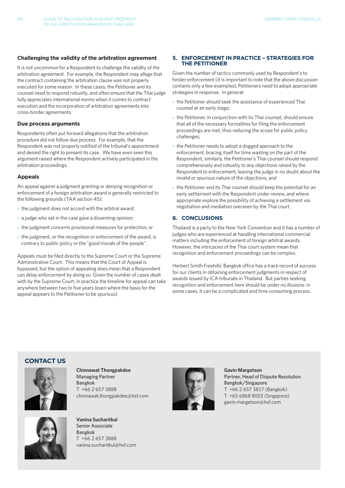## **Challenging the validity of the arbitration agreement**

It is not uncommon for a Respondent to challenge the validity of the arbitration agreement. For example, the Respondent may allege that the contract containing the arbitration clause was not properly executed for some reason. In these cases, the Petitioner and its counsel need to respond robustly, and often ensure that the Thai judge fully appreciates international norms when it comes to contract execution and the incorporation of arbitration agreements into cross-border agreements.

## **Due process arguments**

Respondents often put forward allegations that the arbitration procedure did not follow due process. For example, that the Respondent was not properly notified of the tribunal's appointment and denied the right to present its case. We have even seen this argument raised where the Respondent actively participated in the arbitration proceedings.

## **Appeals**

An appeal against a judgment granting or denying recognition or enforcement of a foreign arbitration award is generally restricted to the following grounds (TAA section 45):

- the judgment does not accord with the arbitral award;
- a judge who sat in the case gave a dissenting opinion;
- the judgment concerns provisional measures for protection; or
- the judgment, or the recognition or enforcement of the award, is contrary to public policy or the "good morals of the people".

Appeals must be filed directly to the Supreme Court or the Supreme Administrative Court. This means that the Court of Appeal is bypassed, but the option of appealing does mean that a Respondent can delay enforcement by doing so. Given the number of cases dealt with by the Supreme Court, in practice the timeline for appeal can take anywhere between two to five years (even where the basis for the appeal appears to the Petitioner to be spurious).

## **5. ENFORCEMENT IN PRACTICE – STRATEGIES FOR THE PETITIONER**

Given the number of tactics commonly used by Respondent's to hinder enforcement (it is important to note that the above discussion contains only a few examples), Petitioners need to adopt appropriate strategies in response. In general:

- <sup>o</sup> the Petitioner should seek the assistance of experienced Thai counsel at an early stage;
- the Petitioner, in conjunction with its Thai counsel, should ensure that all of the necessary formalities for filing the enforcement proceedings are met, thus reducing the scope for public policy challenges;
- <sup>o</sup> the Petitioner needs to adopt a dogged approach to the enforcement, bracing itself for time wasting on the part of the Respondent; similarly, the Petitioner's Thai counsel should respond comprehensively and robustly to any objections raised by the Respondent to enforcement, leaving the judge in no doubt about the invalid or spurious nature of the objections; and
- the Petitioner and its Thai counsel should keep the potential for an early settlement with the Respondent under review, and where appropriate explore the possibility of achieving a settlement via negotiation and mediation overseen by the Thai court.

## **6. CONCLUSIONS**

Thailand is a party to the New York Convention and it has a number of judges who are experienced at handling international commercial matters including the enforcement of foreign arbitral awards. However, the intricacies of the Thai court system mean that recognition and enforcement proceedings can be complex.

Herbert Smith Freehills' Bangkok office has a track record of success for our clients in obtaining enforcement judgments in respect of awards issued by ICA tribunals in Thailand. But parties seeking recognition and enforcement here should be under no illusions: in some cases, it can be a complicated and time consuming process.

## **CONTACT US**



**Chinnawat Thongpakdee** Managing Partner Bangkok T +66 2 657 3888 chinnawat.thongpakdee@hsf.com



**Vanina Sucharitkul** Senior Associate Bangkok T +66 2 657 3888 vanina.sucharitkul@hsf.com



**Gavin Margetson** Partner, Head of Dispute Resolution Bangkok/Singapore T +66 2 657 3817 (Bangkok) T +65 6868 8003 (Singapore) gavin.margetson@hsf.com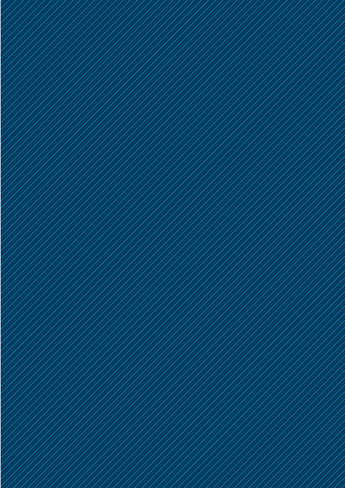